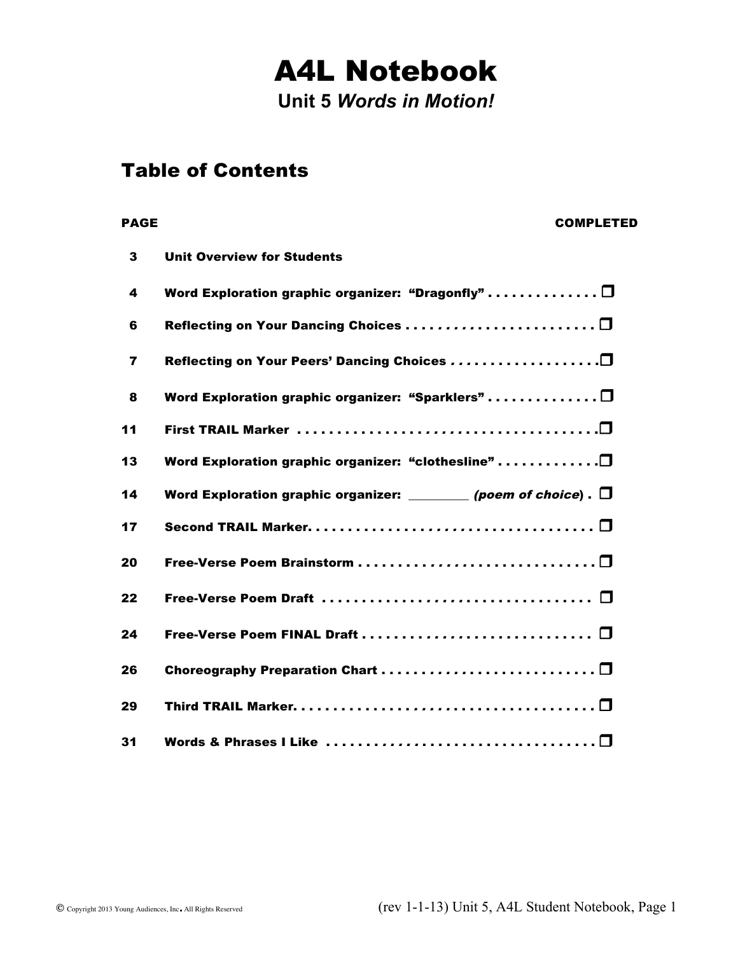# A4L Notebook

**Unit 5** *Words in Motion!* 

#### Table of Contents

## PAGE COMPLETED 3 Unit Overview for Students 4 Word Exploration graphic organizer: "Dragonfly" . . . . . . . . . . . . .  $\Box$  6 Reflecting on Your Dancing Choices . . . . . . . . . . . . . . . . . . . . . . . . r 7 Reflecting on Your Peers' Dancing Choices . . . . . . . . . . . . . . . . . . .r 8 Word Exploration graphic organizer: "Sparklers"............... $\Box$ 11 First TRAIL Marker . . . . . . . . . . . . . . . . . . . . . . . . . . . . . . . . . . . . . .r 13 Word Exploration graphic organizer: "clothesline" . . . . . . . . . . . . . . 0 14 Word Exploration graphic organizer:  $\Box$  (poem of choice) .  $\Box$ 17 Second TRAIL Marker. . . . . . . . . . . . . . . . . . . . . . . . . . . . . . . . . . . . r <sup>20</sup> Free-Verse Poem Brainstorm . . . . . . . . . . . . . . . . . . . . . . . . . . . . . . r <sup>22</sup> Free-Verse Poem Draft . . . . . . . . . . . . . . . . . . . . . . . . . . . . . . . . . . r <sup>24</sup> Free-Verse Poem FINAL Draft . . . . . . . . . . . . . . . . . . . . . . . . . . . . . r <sup>26</sup> Choreography Preparation Chart . . . . . . . . . . . . . . . . . . . . . . . . . . . r <sup>29</sup> Third TRAIL Marker. . . . . . . . . . . . . . . . . . . . . . . . . . . . . . . . . . . . . . r 31 Words & Phrases I Like  $\ldots \ldots \ldots \ldots \ldots \ldots \ldots \ldots \ldots \ldots \square$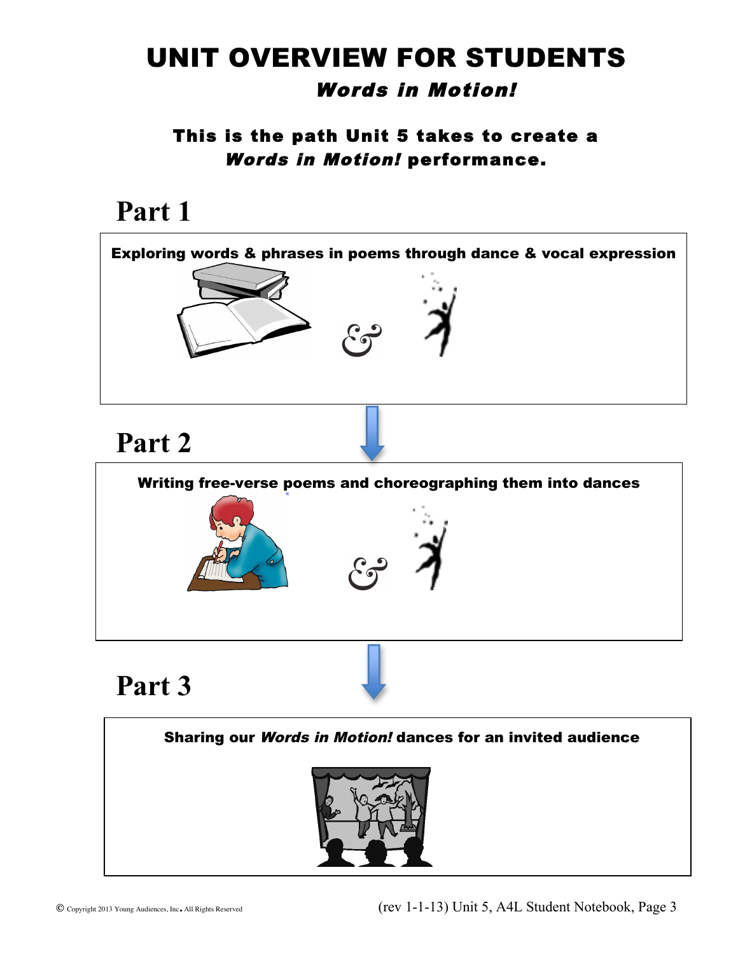## UNIT OVERVIEW FOR STUDENTS Words in Motion!

This is the path Unit 5 takes to create a Words in Motion! performance.

## **Part 1**



 $\overline{a}$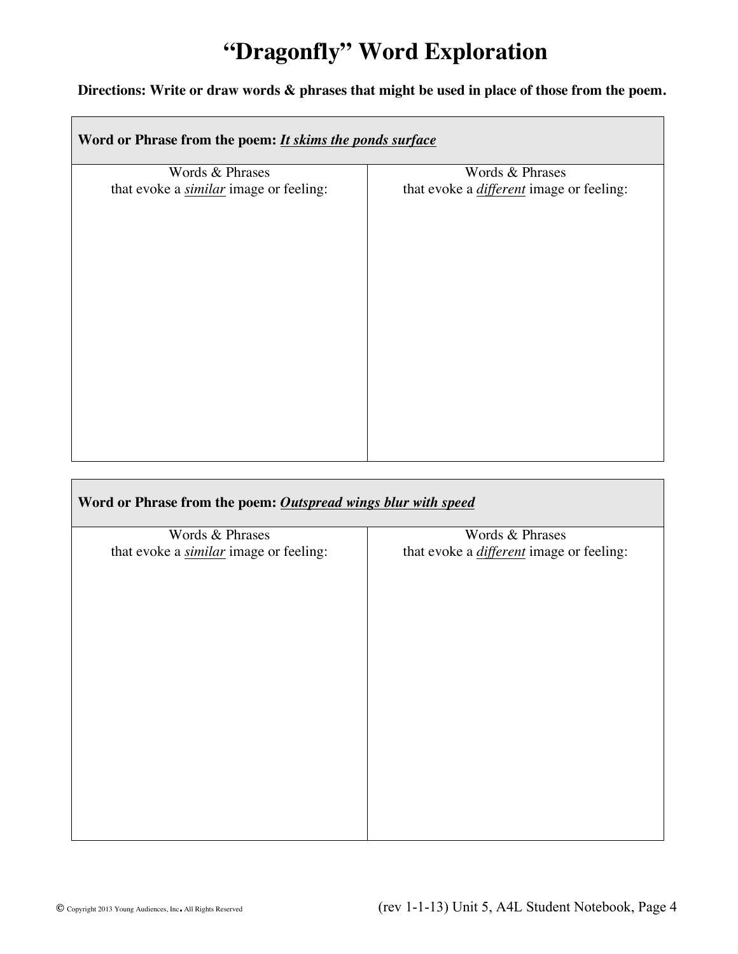## **"Dragonfly" Word Exploration**

 $\overline{\phantom{a}}$ 

#### **Directions: Write or draw words & phrases that might be used in place of those from the poem.**

| Word or Phrase from the poem: <i>It skims the ponds surface</i> |                                                 |  |
|-----------------------------------------------------------------|-------------------------------------------------|--|
| Words & Phrases                                                 | Words & Phrases                                 |  |
| that evoke a <i>similar</i> image or feeling:                   | that evoke a <i>different</i> image or feeling: |  |
|                                                                 |                                                 |  |
|                                                                 |                                                 |  |
|                                                                 |                                                 |  |
|                                                                 |                                                 |  |
|                                                                 |                                                 |  |
|                                                                 |                                                 |  |
|                                                                 |                                                 |  |
|                                                                 |                                                 |  |
|                                                                 |                                                 |  |
|                                                                 |                                                 |  |
|                                                                 |                                                 |  |
|                                                                 |                                                 |  |
|                                                                 |                                                 |  |
|                                                                 |                                                 |  |
|                                                                 |                                                 |  |

| Word or Phrase from the poem: Outspread wings blur with speed |                                                 |  |
|---------------------------------------------------------------|-------------------------------------------------|--|
| Words & Phrases                                               | Words & Phrases                                 |  |
| that evoke a <i>similar</i> image or feeling:                 | that evoke a <i>different</i> image or feeling: |  |
|                                                               |                                                 |  |

 $\overline{\phantom{0}}$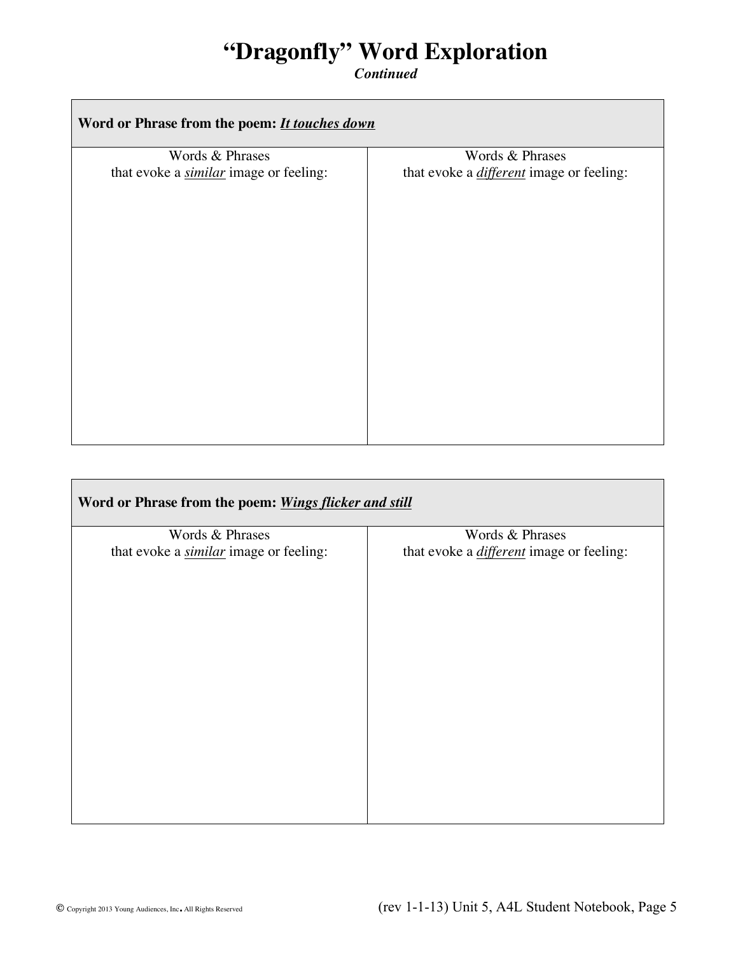### **"Dragonfly" Word Exploration**

*Continued*

| Word or Phrase from the poem: <i>It touches down</i>             |                                                                    |
|------------------------------------------------------------------|--------------------------------------------------------------------|
| Words & Phrases<br>that evoke a <i>similar</i> image or feeling: | Words & Phrases<br>that evoke a <i>different</i> image or feeling: |
|                                                                  |                                                                    |

| Word or Phrase from the poem: Wings flicker and still |                                                 |  |
|-------------------------------------------------------|-------------------------------------------------|--|
| Words & Phrases                                       | Words & Phrases                                 |  |
| that evoke a <i>similar</i> image or feeling:         | that evoke a <i>different</i> image or feeling: |  |
|                                                       |                                                 |  |
|                                                       |                                                 |  |
|                                                       |                                                 |  |
|                                                       |                                                 |  |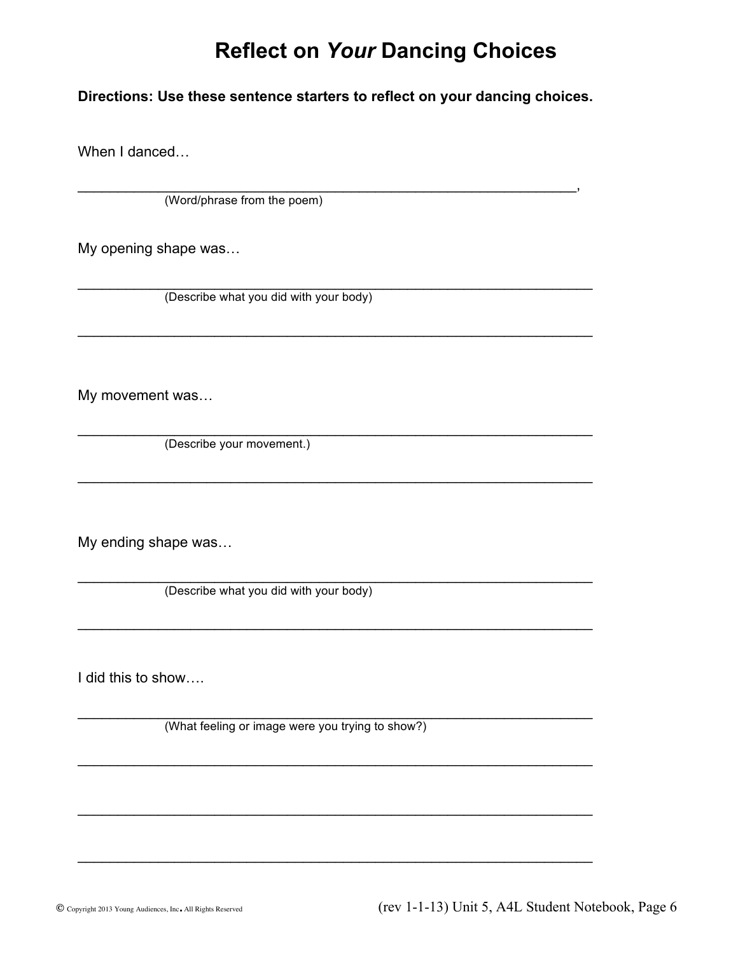#### **Reflect on** *Your* **Dancing Choices**

#### **Directions: Use these sentence starters to reflect on your dancing choices.**

 $\overline{\phantom{a}}$  , and the contract of the contract of the contract of the contract of the contract of the contract of the contract of the contract of the contract of the contract of the contract of the contract of the contrac

\_\_\_\_\_\_\_\_\_\_\_\_\_\_\_\_\_\_\_\_\_\_\_\_\_\_\_\_\_\_\_\_\_\_\_\_\_\_\_\_\_\_\_\_\_\_\_\_\_\_\_\_\_\_\_\_\_\_\_\_\_\_\_\_

 $\mathcal{L}_\text{max}$  and  $\mathcal{L}_\text{max}$  and  $\mathcal{L}_\text{max}$  and  $\mathcal{L}_\text{max}$  and  $\mathcal{L}_\text{max}$  and  $\mathcal{L}_\text{max}$ 

\_\_\_\_\_\_\_\_\_\_\_\_\_\_\_\_\_\_\_\_\_\_\_\_\_\_\_\_\_\_\_\_\_\_\_\_\_\_\_\_\_\_\_\_\_\_\_\_\_\_\_\_\_\_\_\_\_\_\_\_\_\_\_\_

\_\_\_\_\_\_\_\_\_\_\_\_\_\_\_\_\_\_\_\_\_\_\_\_\_\_\_\_\_\_\_\_\_\_\_\_\_\_\_\_\_\_\_\_\_\_\_\_\_\_\_\_\_\_\_\_\_\_\_\_\_\_\_\_

 $\mathcal{L}_\text{max}$  and  $\mathcal{L}_\text{max}$  and  $\mathcal{L}_\text{max}$  and  $\mathcal{L}_\text{max}$  and  $\mathcal{L}_\text{max}$  and  $\mathcal{L}_\text{max}$ 

\_\_\_\_\_\_\_\_\_\_\_\_\_\_\_\_\_\_\_\_\_\_\_\_\_\_\_\_\_\_\_\_\_\_\_\_\_\_\_\_\_\_\_\_\_\_\_\_\_\_\_\_\_\_\_\_\_\_\_\_\_\_\_\_

\_\_\_\_\_\_\_\_\_\_\_\_\_\_\_\_\_\_\_\_\_\_\_\_\_\_\_\_\_\_\_\_\_\_\_\_\_\_\_\_\_\_\_\_\_\_\_\_\_\_\_\_\_\_\_\_\_\_\_\_\_\_\_\_

When I danced…

(Word/phrase from the poem)

My opening shape was…

(Describe what you did with your body)

My movement was…

 $\mathcal{L}_\text{max}$  and  $\mathcal{L}_\text{max}$  and  $\mathcal{L}_\text{max}$  and  $\mathcal{L}_\text{max}$  and  $\mathcal{L}_\text{max}$  and  $\mathcal{L}_\text{max}$ (Describe your movement.)

My ending shape was…

 $\mathcal{L}_\text{max}$  and  $\mathcal{L}_\text{max}$  and  $\mathcal{L}_\text{max}$  and  $\mathcal{L}_\text{max}$  and  $\mathcal{L}_\text{max}$  and  $\mathcal{L}_\text{max}$ (Describe what you did with your body)

I did this to show….

 $\mathcal{L}_\text{max}$  and  $\mathcal{L}_\text{max}$  and  $\mathcal{L}_\text{max}$  and  $\mathcal{L}_\text{max}$  and  $\mathcal{L}_\text{max}$  and  $\mathcal{L}_\text{max}$ (What feeling or image were you trying to show?)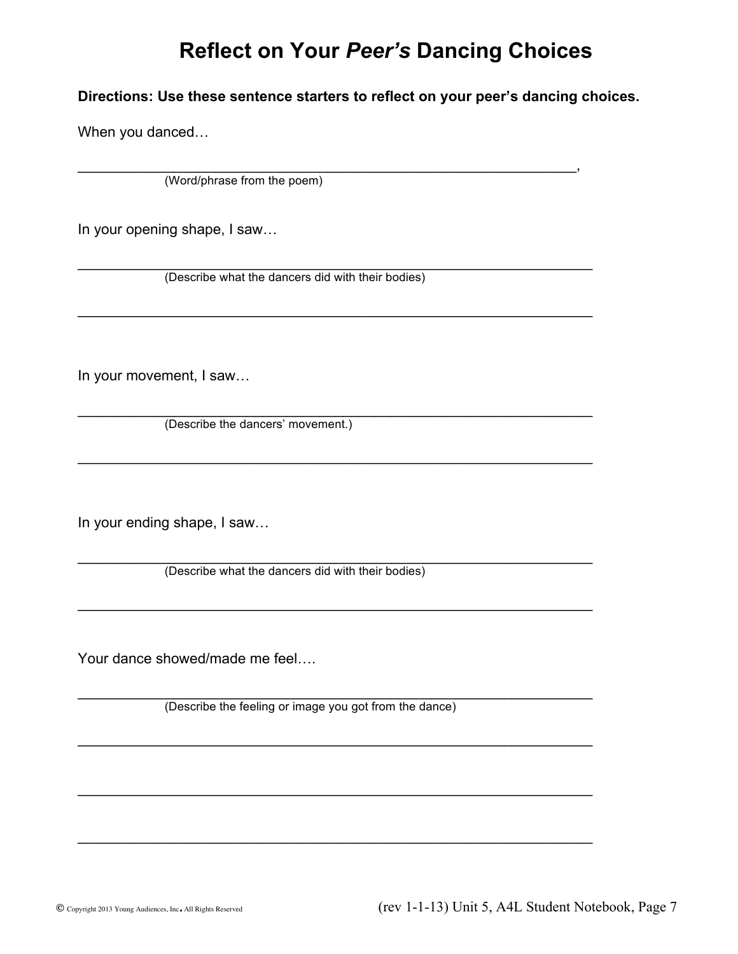#### **Reflect on Your** *Peer's* **Dancing Choices**

**Directions: Use these sentence starters to reflect on your peer's dancing choices.**

 $\overline{\phantom{a}}$  , and the contract of the contract of the contract of the contract of the contract of the contract of the contract of the contract of the contract of the contract of the contract of the contract of the contrac

\_\_\_\_\_\_\_\_\_\_\_\_\_\_\_\_\_\_\_\_\_\_\_\_\_\_\_\_\_\_\_\_\_\_\_\_\_\_\_\_\_\_\_\_\_\_\_\_\_\_\_\_\_\_\_\_\_\_\_\_\_\_\_\_

\_\_\_\_\_\_\_\_\_\_\_\_\_\_\_\_\_\_\_\_\_\_\_\_\_\_\_\_\_\_\_\_\_\_\_\_\_\_\_\_\_\_\_\_\_\_\_\_\_\_\_\_\_\_\_\_\_\_\_\_\_\_\_\_

\_\_\_\_\_\_\_\_\_\_\_\_\_\_\_\_\_\_\_\_\_\_\_\_\_\_\_\_\_\_\_\_\_\_\_\_\_\_\_\_\_\_\_\_\_\_\_\_\_\_\_\_\_\_\_\_\_\_\_\_\_\_\_\_

\_\_\_\_\_\_\_\_\_\_\_\_\_\_\_\_\_\_\_\_\_\_\_\_\_\_\_\_\_\_\_\_\_\_\_\_\_\_\_\_\_\_\_\_\_\_\_\_\_\_\_\_\_\_\_\_\_\_\_\_\_\_\_\_

\_\_\_\_\_\_\_\_\_\_\_\_\_\_\_\_\_\_\_\_\_\_\_\_\_\_\_\_\_\_\_\_\_\_\_\_\_\_\_\_\_\_\_\_\_\_\_\_\_\_\_\_\_\_\_\_\_\_\_\_\_\_\_\_

\_\_\_\_\_\_\_\_\_\_\_\_\_\_\_\_\_\_\_\_\_\_\_\_\_\_\_\_\_\_\_\_\_\_\_\_\_\_\_\_\_\_\_\_\_\_\_\_\_\_\_\_\_\_\_\_\_\_\_\_\_\_\_\_

When you danced…

(Word/phrase from the poem)

In your opening shape, I saw…

\_\_\_\_\_\_\_\_\_\_\_\_\_\_\_\_\_\_\_\_\_\_\_\_\_\_\_\_\_\_\_\_\_\_\_\_\_\_\_\_\_\_\_\_\_\_\_\_\_\_\_\_\_\_\_\_\_\_\_\_\_\_\_\_ (Describe what the dancers did with their bodies)

In your movement, I saw…

 $\mathcal{L}_\text{max}$  and  $\mathcal{L}_\text{max}$  and  $\mathcal{L}_\text{max}$  and  $\mathcal{L}_\text{max}$  and  $\mathcal{L}_\text{max}$  and  $\mathcal{L}_\text{max}$ (Describe the dancers' movement.)

In your ending shape, I saw…

 $\mathcal{L}_\text{max}$  and  $\mathcal{L}_\text{max}$  and  $\mathcal{L}_\text{max}$  and  $\mathcal{L}_\text{max}$  and  $\mathcal{L}_\text{max}$  and  $\mathcal{L}_\text{max}$ (Describe what the dancers did with their bodies)

Your dance showed/made me feel….

 $\mathcal{L}_\text{max}$  and  $\mathcal{L}_\text{max}$  and  $\mathcal{L}_\text{max}$  and  $\mathcal{L}_\text{max}$  and  $\mathcal{L}_\text{max}$  and  $\mathcal{L}_\text{max}$ (Describe the feeling or image you got from the dance)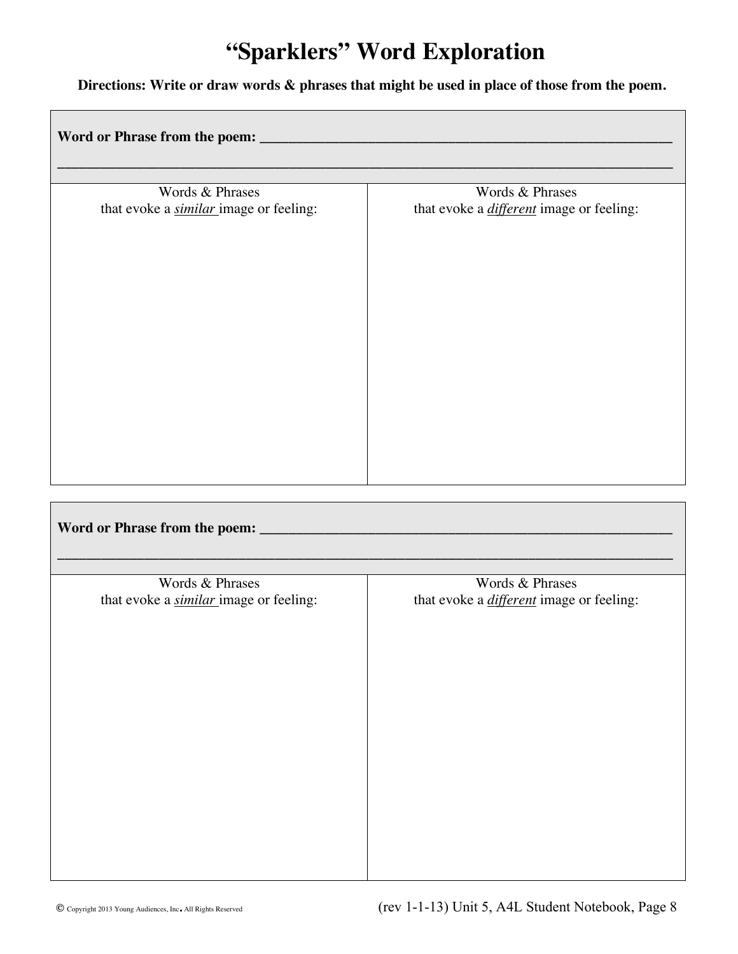## **"Sparklers" Word Exploration**

#### **Directions: Write or draw words & phrases that might be used in place of those from the poem.**

| Words & Phrases                               | Words & Phrases                                 |
|-----------------------------------------------|-------------------------------------------------|
| that evoke a <i>similar</i> image or feeling: | that evoke a <i>different</i> image or feeling: |
|                                               |                                                 |
| Words & Phrases                               | Words & Phrases                                 |
| that evoke a <i>similar</i> image or feeling: | that evoke a <i>different</i> image or feeling: |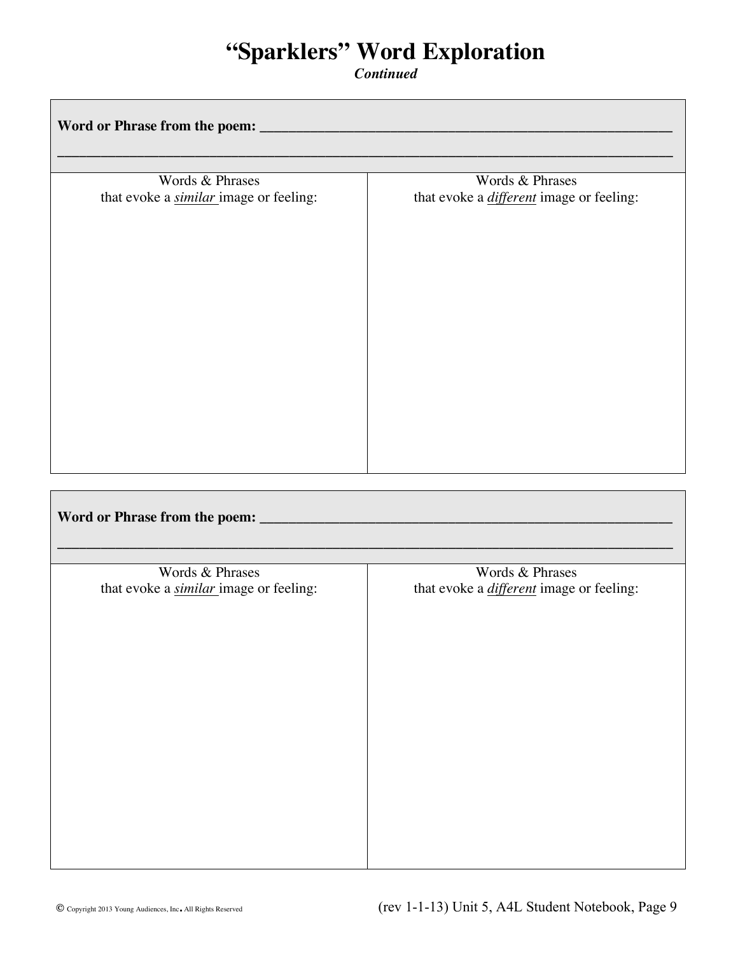### **"Sparklers" Word Exploration**

*Continued*

| Words & Phrases                                                  | Words & Phrases                                                    |
|------------------------------------------------------------------|--------------------------------------------------------------------|
| that evoke a <i>similar</i> image or feeling:                    | that evoke a <i>different</i> image or feeling:                    |
|                                                                  |                                                                    |
|                                                                  |                                                                    |
| Words & Phrases<br>that evoke a <i>similar</i> image or feeling: | Words & Phrases<br>that evoke a <i>different</i> image or feeling: |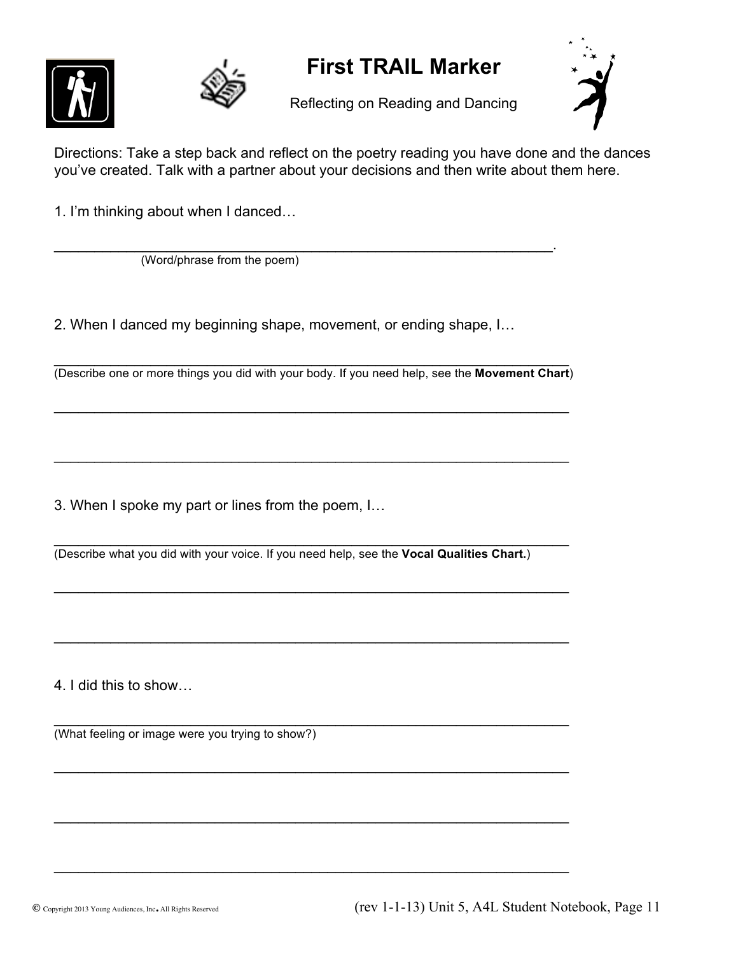



### **First TRAIL Marker**

Reflecting on Reading and Dancing



Directions: Take a step back and reflect on the poetry reading you have done and the dances you've created. Talk with a partner about your decisions and then write about them here.

1. I'm thinking about when I danced…

 $\mathcal{L}_\text{max} = \mathcal{L}_\text{max} = \mathcal{L}_\text{max} = \mathcal{L}_\text{max} = \mathcal{L}_\text{max} = \mathcal{L}_\text{max} = \mathcal{L}_\text{max} = \mathcal{L}_\text{max} = \mathcal{L}_\text{max} = \mathcal{L}_\text{max} = \mathcal{L}_\text{max} = \mathcal{L}_\text{max} = \mathcal{L}_\text{max} = \mathcal{L}_\text{max} = \mathcal{L}_\text{max} = \mathcal{L}_\text{max} = \mathcal{L}_\text{max} = \mathcal{L}_\text{max} = \mathcal{$ (Word/phrase from the poem)

2. When I danced my beginning shape, movement, or ending shape, I…

 $\mathcal{L}_\text{max}$  , and the contract of the contract of the contract of the contract of the contract of the contract of (Describe one or more things you did with your body. If you need help, see the **Movement Chart**)

 $\mathcal{L}_\text{max}$  , and the contract of the contract of the contract of the contract of the contract of the contract of the contract of the contract of the contract of the contract of the contract of the contract of the contr

 $\mathcal{L}_\text{max}$  , and the contract of the contract of the contract of the contract of the contract of the contract of

 $\mathcal{L}_\text{max}$  , and the contract of the contract of the contract of the contract of the contract of the contract of the contract of the contract of the contract of the contract of the contract of the contract of the contr

 $\mathcal{L}_\text{max} = \mathcal{L}_\text{max} = \mathcal{L}_\text{max} = \mathcal{L}_\text{max} = \mathcal{L}_\text{max} = \mathcal{L}_\text{max} = \mathcal{L}_\text{max} = \mathcal{L}_\text{max} = \mathcal{L}_\text{max} = \mathcal{L}_\text{max} = \mathcal{L}_\text{max} = \mathcal{L}_\text{max} = \mathcal{L}_\text{max} = \mathcal{L}_\text{max} = \mathcal{L}_\text{max} = \mathcal{L}_\text{max} = \mathcal{L}_\text{max} = \mathcal{L}_\text{max} = \mathcal{$ 

 $\mathcal{L}_\text{max} = \mathcal{L}_\text{max} = \mathcal{L}_\text{max} = \mathcal{L}_\text{max} = \mathcal{L}_\text{max} = \mathcal{L}_\text{max} = \mathcal{L}_\text{max} = \mathcal{L}_\text{max} = \mathcal{L}_\text{max} = \mathcal{L}_\text{max} = \mathcal{L}_\text{max} = \mathcal{L}_\text{max} = \mathcal{L}_\text{max} = \mathcal{L}_\text{max} = \mathcal{L}_\text{max} = \mathcal{L}_\text{max} = \mathcal{L}_\text{max} = \mathcal{L}_\text{max} = \mathcal{$ 

 $\mathcal{L}_\text{max} = \mathcal{L}_\text{max} = \mathcal{L}_\text{max} = \mathcal{L}_\text{max} = \mathcal{L}_\text{max} = \mathcal{L}_\text{max} = \mathcal{L}_\text{max} = \mathcal{L}_\text{max} = \mathcal{L}_\text{max} = \mathcal{L}_\text{max} = \mathcal{L}_\text{max} = \mathcal{L}_\text{max} = \mathcal{L}_\text{max} = \mathcal{L}_\text{max} = \mathcal{L}_\text{max} = \mathcal{L}_\text{max} = \mathcal{L}_\text{max} = \mathcal{L}_\text{max} = \mathcal{$ 

 $\mathcal{L}_\text{max} = \mathcal{L}_\text{max} = \mathcal{L}_\text{max} = \mathcal{L}_\text{max} = \mathcal{L}_\text{max} = \mathcal{L}_\text{max} = \mathcal{L}_\text{max} = \mathcal{L}_\text{max} = \mathcal{L}_\text{max} = \mathcal{L}_\text{max} = \mathcal{L}_\text{max} = \mathcal{L}_\text{max} = \mathcal{L}_\text{max} = \mathcal{L}_\text{max} = \mathcal{L}_\text{max} = \mathcal{L}_\text{max} = \mathcal{L}_\text{max} = \mathcal{L}_\text{max} = \mathcal{$ 

3. When I spoke my part or lines from the poem, I…

 $\mathcal{L}_\text{max} = \mathcal{L}_\text{max} = \mathcal{L}_\text{max} = \mathcal{L}_\text{max} = \mathcal{L}_\text{max} = \mathcal{L}_\text{max} = \mathcal{L}_\text{max} = \mathcal{L}_\text{max} = \mathcal{L}_\text{max} = \mathcal{L}_\text{max} = \mathcal{L}_\text{max} = \mathcal{L}_\text{max} = \mathcal{L}_\text{max} = \mathcal{L}_\text{max} = \mathcal{L}_\text{max} = \mathcal{L}_\text{max} = \mathcal{L}_\text{max} = \mathcal{L}_\text{max} = \mathcal{$ (Describe what you did with your voice. If you need help, see the **Vocal Qualities Chart.**)

4. I did this to show…

 $\mathcal{L}_\text{max} = \mathcal{L}_\text{max} = \mathcal{L}_\text{max} = \mathcal{L}_\text{max} = \mathcal{L}_\text{max} = \mathcal{L}_\text{max} = \mathcal{L}_\text{max} = \mathcal{L}_\text{max} = \mathcal{L}_\text{max} = \mathcal{L}_\text{max} = \mathcal{L}_\text{max} = \mathcal{L}_\text{max} = \mathcal{L}_\text{max} = \mathcal{L}_\text{max} = \mathcal{L}_\text{max} = \mathcal{L}_\text{max} = \mathcal{L}_\text{max} = \mathcal{L}_\text{max} = \mathcal{$ (What feeling or image were you trying to show?)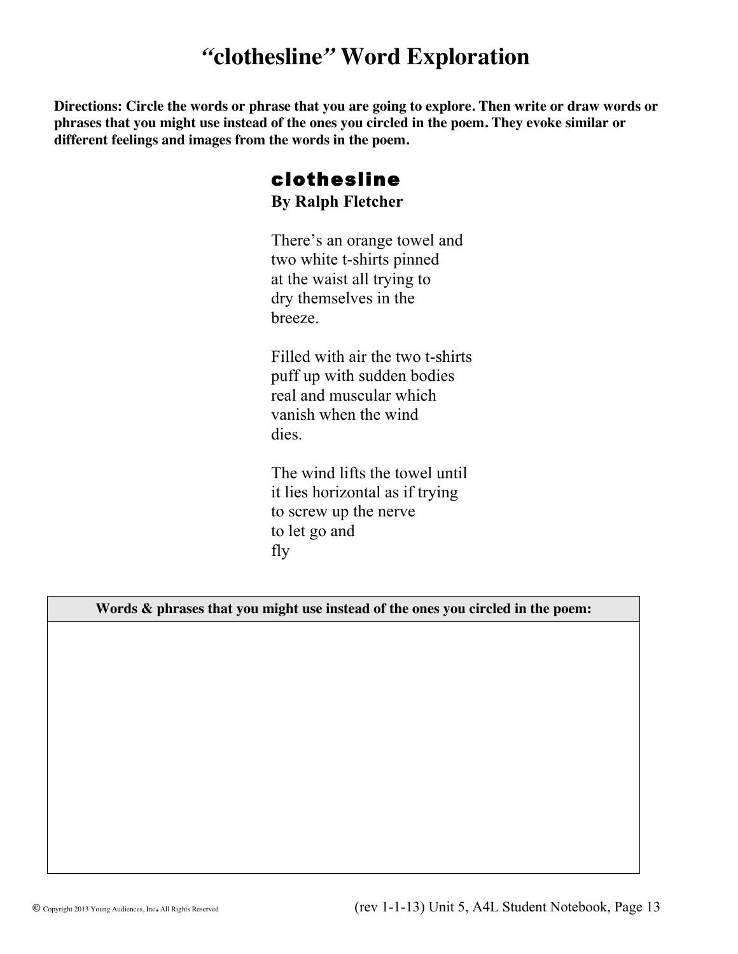### *"***clothesline***"* **Word Exploration**

**Directions: Circle the words or phrase that you are going to explore. Then write or draw words or phrases that you might use instead of the ones you circled in the poem. They evoke similar or different feelings and images from the words in the poem.**

#### clothesline **By Ralph Fletcher**

There's an orange towel and two white t-shirts pinned at the waist all trying to dry themselves in the breeze.

Filled with air the two t-shirts puff up with sudden bodies real and muscular which vanish when the wind dies.

The wind lifts the towel until it lies horizontal as if trying to screw up the nerve to let go and fly

#### **Words & phrases that you might use instead of the ones you circled in the poem:**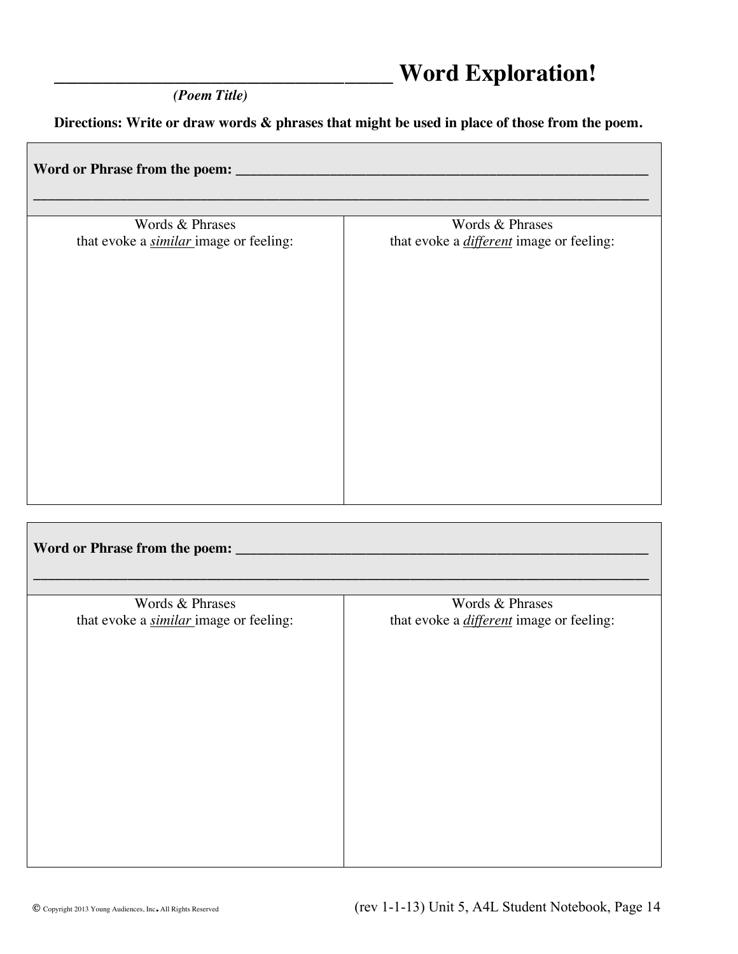### \_\_\_\_\_\_\_\_\_\_\_\_\_\_\_\_\_\_\_\_\_\_\_\_\_\_\_\_ **Word Exploration!**

 *(Poem Title)*

**Directions: Write or draw words & phrases that might be used in place of those from the poem.**

| Word or Phrase from the poem: ___                                |                                                                    |
|------------------------------------------------------------------|--------------------------------------------------------------------|
| Words & Phrases<br>that evoke a <i>similar</i> image or feeling: | Words & Phrases<br>that evoke a <i>different</i> image or feeling: |
|                                                                  |                                                                    |
|                                                                  |                                                                    |
|                                                                  |                                                                    |
|                                                                  |                                                                    |
|                                                                  |                                                                    |

| Word or Phrase from the poem: ____            |                                                 |
|-----------------------------------------------|-------------------------------------------------|
|                                               |                                                 |
| Words & Phrases                               | Words & Phrases                                 |
| that evoke a <i>similar</i> image or feeling: | that evoke a <i>different</i> image or feeling: |
|                                               |                                                 |
|                                               |                                                 |
|                                               |                                                 |
|                                               |                                                 |
|                                               |                                                 |
|                                               |                                                 |
|                                               |                                                 |
|                                               |                                                 |
|                                               |                                                 |
|                                               |                                                 |
|                                               |                                                 |
|                                               |                                                 |

T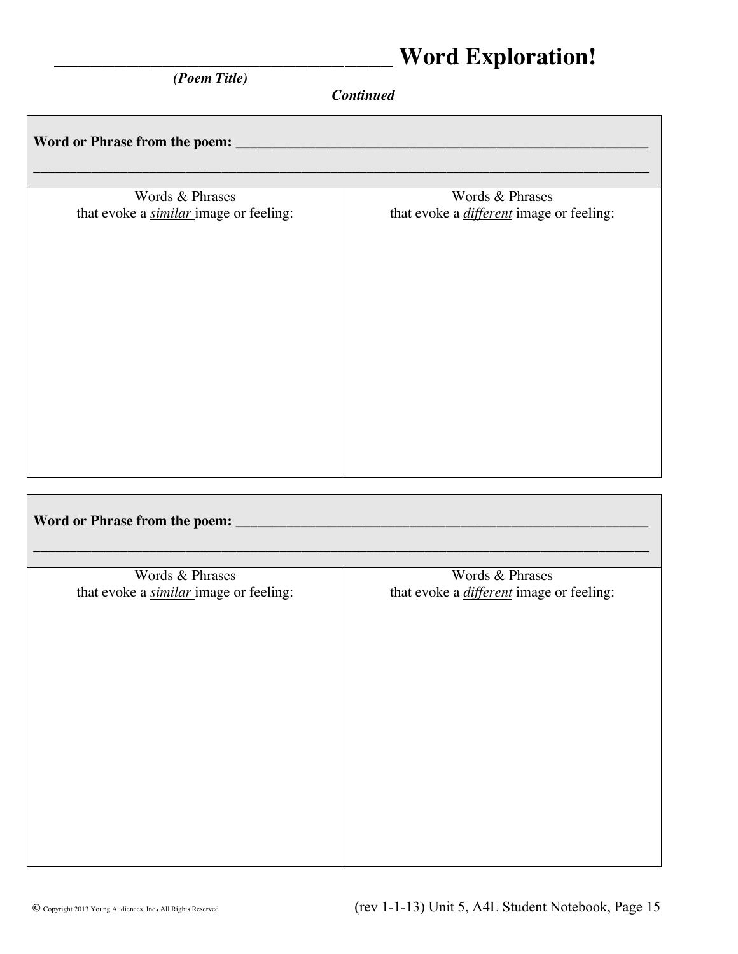### \_\_\_\_\_\_\_\_\_\_\_\_\_\_\_\_\_\_\_\_\_\_\_\_\_\_\_\_ **Word Exploration!**

 *(Poem Title)*

*Continued*

| Words & Phrases<br>that evoke a <i>similar</i> image or feeling: | Words & Phrases<br>that evoke a <i>different</i> image or feeling: |
|------------------------------------------------------------------|--------------------------------------------------------------------|
|                                                                  |                                                                    |
|                                                                  |                                                                    |
|                                                                  |                                                                    |
|                                                                  |                                                                    |
|                                                                  |                                                                    |
|                                                                  |                                                                    |
|                                                                  |                                                                    |
|                                                                  |                                                                    |
|                                                                  |                                                                    |
|                                                                  |                                                                    |
| Words & Phrases<br>that evoke a <i>similar</i> image or feeling: | Words & Phrases<br>that evoke a <i>different</i> image or feeling: |
|                                                                  |                                                                    |
|                                                                  |                                                                    |
|                                                                  |                                                                    |
|                                                                  |                                                                    |
|                                                                  |                                                                    |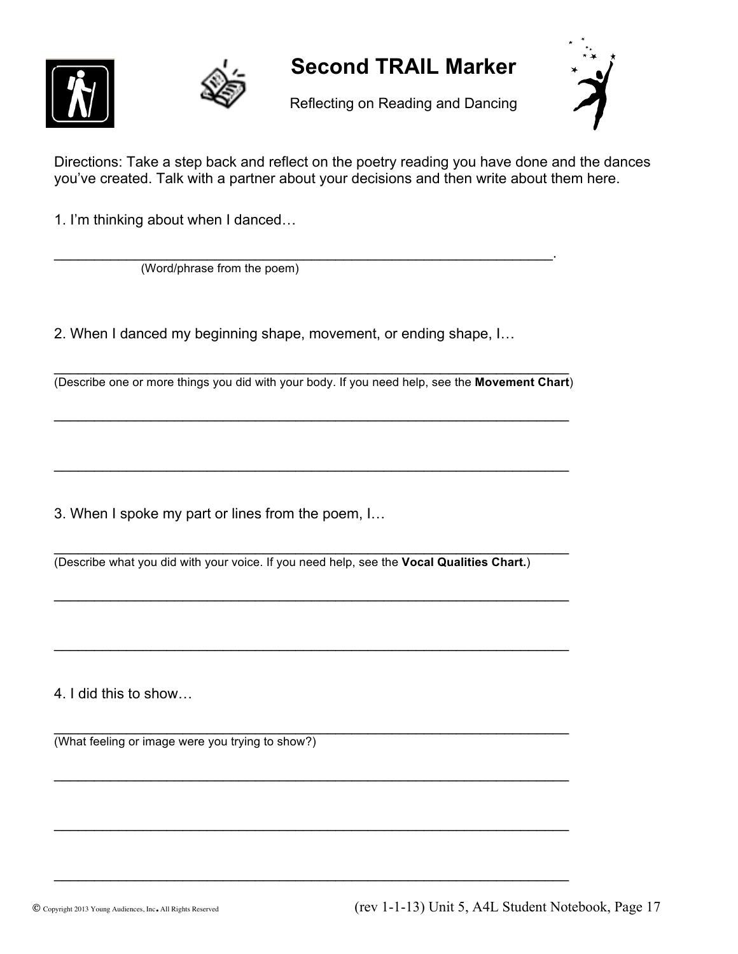



#### **Second TRAIL Marker**

Reflecting on Reading and Dancing



Directions: Take a step back and reflect on the poetry reading you have done and the dances you've created. Talk with a partner about your decisions and then write about them here.

1. I'm thinking about when I danced…

 $\mathcal{L}_\text{max} = \mathcal{L}_\text{max} = \mathcal{L}_\text{max} = \mathcal{L}_\text{max} = \mathcal{L}_\text{max} = \mathcal{L}_\text{max} = \mathcal{L}_\text{max} = \mathcal{L}_\text{max} = \mathcal{L}_\text{max} = \mathcal{L}_\text{max} = \mathcal{L}_\text{max} = \mathcal{L}_\text{max} = \mathcal{L}_\text{max} = \mathcal{L}_\text{max} = \mathcal{L}_\text{max} = \mathcal{L}_\text{max} = \mathcal{L}_\text{max} = \mathcal{L}_\text{max} = \mathcal{$ (Word/phrase from the poem)

2. When I danced my beginning shape, movement, or ending shape, I…

 $\mathcal{L}_\text{max} = \mathcal{L}_\text{max} = \mathcal{L}_\text{max} = \mathcal{L}_\text{max} = \mathcal{L}_\text{max} = \mathcal{L}_\text{max} = \mathcal{L}_\text{max} = \mathcal{L}_\text{max} = \mathcal{L}_\text{max} = \mathcal{L}_\text{max} = \mathcal{L}_\text{max} = \mathcal{L}_\text{max} = \mathcal{L}_\text{max} = \mathcal{L}_\text{max} = \mathcal{L}_\text{max} = \mathcal{L}_\text{max} = \mathcal{L}_\text{max} = \mathcal{L}_\text{max} = \mathcal{$ (Describe one or more things you did with your body. If you need help, see the **Movement Chart**)

 $\mathcal{L}_\text{max}$  , and the contract of the contract of the contract of the contract of the contract of the contract of the contract of the contract of the contract of the contract of the contract of the contract of the contr

 $\mathcal{L}_\text{max} = \mathcal{L}_\text{max} = \mathcal{L}_\text{max} = \mathcal{L}_\text{max} = \mathcal{L}_\text{max} = \mathcal{L}_\text{max} = \mathcal{L}_\text{max} = \mathcal{L}_\text{max} = \mathcal{L}_\text{max} = \mathcal{L}_\text{max} = \mathcal{L}_\text{max} = \mathcal{L}_\text{max} = \mathcal{L}_\text{max} = \mathcal{L}_\text{max} = \mathcal{L}_\text{max} = \mathcal{L}_\text{max} = \mathcal{L}_\text{max} = \mathcal{L}_\text{max} = \mathcal{$ 

3. When I spoke my part or lines from the poem, I…

 $\mathcal{L}_\text{max}$  , and the contract of the contract of the contract of the contract of the contract of the contract of (Describe what you did with your voice. If you need help, see the **Vocal Qualities Chart.**)

 $\mathcal{L}_\text{max} = \mathcal{L}_\text{max} = \mathcal{L}_\text{max} = \mathcal{L}_\text{max} = \mathcal{L}_\text{max} = \mathcal{L}_\text{max} = \mathcal{L}_\text{max} = \mathcal{L}_\text{max} = \mathcal{L}_\text{max} = \mathcal{L}_\text{max} = \mathcal{L}_\text{max} = \mathcal{L}_\text{max} = \mathcal{L}_\text{max} = \mathcal{L}_\text{max} = \mathcal{L}_\text{max} = \mathcal{L}_\text{max} = \mathcal{L}_\text{max} = \mathcal{L}_\text{max} = \mathcal{$ 

 $\mathcal{L}_\text{max} = \mathcal{L}_\text{max} = \mathcal{L}_\text{max} = \mathcal{L}_\text{max} = \mathcal{L}_\text{max} = \mathcal{L}_\text{max} = \mathcal{L}_\text{max} = \mathcal{L}_\text{max} = \mathcal{L}_\text{max} = \mathcal{L}_\text{max} = \mathcal{L}_\text{max} = \mathcal{L}_\text{max} = \mathcal{L}_\text{max} = \mathcal{L}_\text{max} = \mathcal{L}_\text{max} = \mathcal{L}_\text{max} = \mathcal{L}_\text{max} = \mathcal{L}_\text{max} = \mathcal{$ 

 $\mathcal{L}_\text{max}$  , and the contract of the contract of the contract of the contract of the contract of the contract of the contract of the contract of the contract of the contract of the contract of the contract of the contr

 $\mathcal{L}_\text{max} = \mathcal{L}_\text{max} = \mathcal{L}_\text{max} = \mathcal{L}_\text{max} = \mathcal{L}_\text{max} = \mathcal{L}_\text{max} = \mathcal{L}_\text{max} = \mathcal{L}_\text{max} = \mathcal{L}_\text{max} = \mathcal{L}_\text{max} = \mathcal{L}_\text{max} = \mathcal{L}_\text{max} = \mathcal{L}_\text{max} = \mathcal{L}_\text{max} = \mathcal{L}_\text{max} = \mathcal{L}_\text{max} = \mathcal{L}_\text{max} = \mathcal{L}_\text{max} = \mathcal{$ 

 $\mathcal{L}_\text{max}$  , and the contract of the contract of the contract of the contract of the contract of the contract of

4. I did this to show…

 $\mathcal{L}_\text{max}$  , and the contract of the contract of the contract of the contract of the contract of the contract of (What feeling or image were you trying to show?)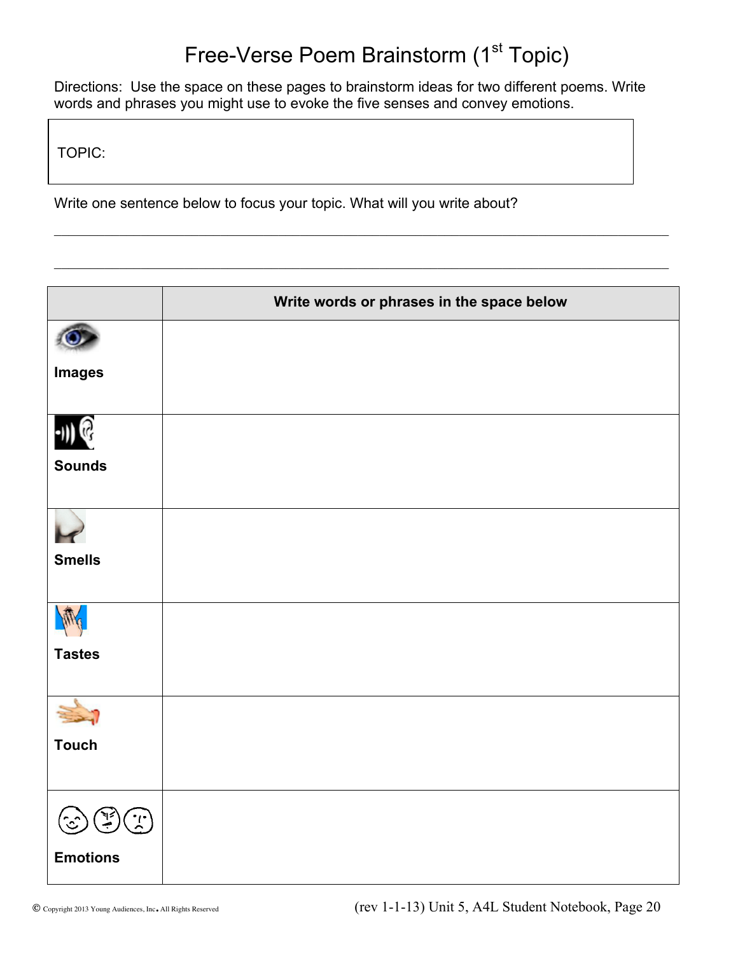## Free-Verse Poem Brainstorm (1<sup>st</sup> Topic)

Directions: Use the space on these pages to brainstorm ideas for two different poems. Write words and phrases you might use to evoke the five senses and convey emotions.

 $\mathcal{L}_\mathcal{L} = \{ \mathcal{L}_\mathcal{L} = \{ \mathcal{L}_\mathcal{L} = \{ \mathcal{L}_\mathcal{L} = \{ \mathcal{L}_\mathcal{L} = \{ \mathcal{L}_\mathcal{L} = \{ \mathcal{L}_\mathcal{L} = \{ \mathcal{L}_\mathcal{L} = \{ \mathcal{L}_\mathcal{L} = \{ \mathcal{L}_\mathcal{L} = \{ \mathcal{L}_\mathcal{L} = \{ \mathcal{L}_\mathcal{L} = \{ \mathcal{L}_\mathcal{L} = \{ \mathcal{L}_\mathcal{L} = \{ \mathcal{L}_\mathcal{$ 

 $\mathcal{L}_\mathcal{L} = \{ \mathcal{L}_\mathcal{L} = \{ \mathcal{L}_\mathcal{L} = \{ \mathcal{L}_\mathcal{L} = \{ \mathcal{L}_\mathcal{L} = \{ \mathcal{L}_\mathcal{L} = \{ \mathcal{L}_\mathcal{L} = \{ \mathcal{L}_\mathcal{L} = \{ \mathcal{L}_\mathcal{L} = \{ \mathcal{L}_\mathcal{L} = \{ \mathcal{L}_\mathcal{L} = \{ \mathcal{L}_\mathcal{L} = \{ \mathcal{L}_\mathcal{L} = \{ \mathcal{L}_\mathcal{L} = \{ \mathcal{L}_\mathcal{$ 

TOPIC:

Write one sentence below to focus your topic. What will you write about?

|                           | Write words or phrases in the space below |
|---------------------------|-------------------------------------------|
|                           |                                           |
| <b>Images</b>             |                                           |
|                           |                                           |
| <b>Sounds</b>             |                                           |
|                           |                                           |
| <b>Smells</b>             |                                           |
|                           |                                           |
| <b>Tastes</b>             |                                           |
|                           |                                           |
| <b>Touch</b>              |                                           |
| $\binom{1}{\binom{n}{2}}$ |                                           |
| <b>Emotions</b>           |                                           |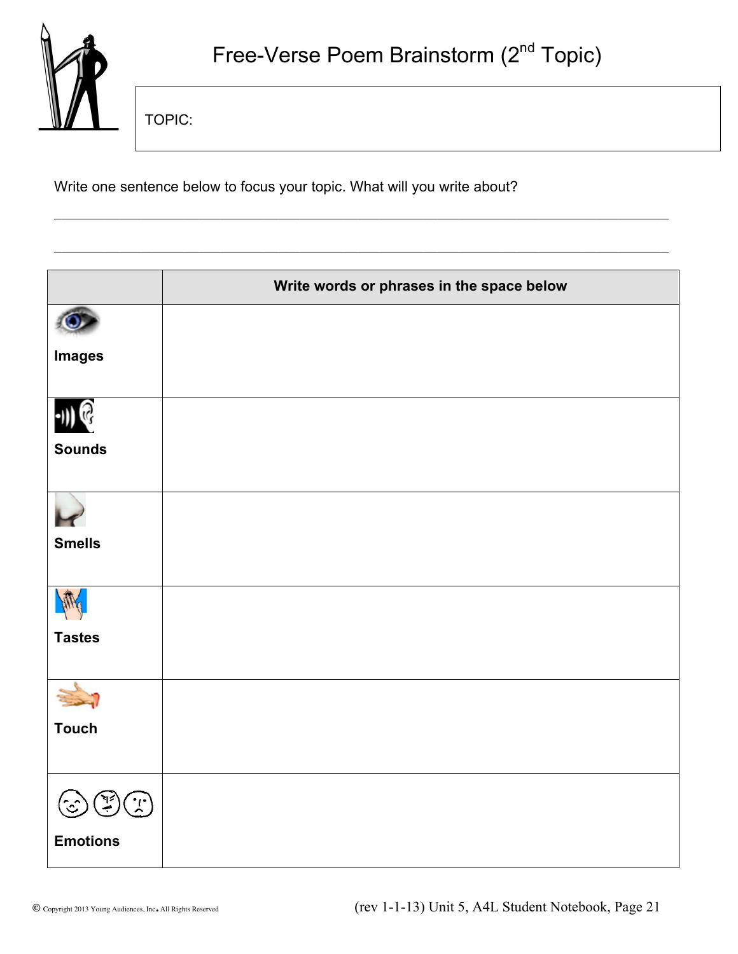

TOPIC:

Write one sentence below to focus your topic. What will you write about?

|                             | Write words or phrases in the space below |
|-----------------------------|-------------------------------------------|
|                             |                                           |
| <b>Images</b>               |                                           |
|                             |                                           |
| <b>Sounds</b>               |                                           |
|                             |                                           |
| <b>Smells</b>               |                                           |
|                             |                                           |
| <b>Tastes</b>               |                                           |
|                             |                                           |
| <b>Touch</b>                |                                           |
| $\mathcal{L}^{\mathcal{C}}$ |                                           |
| <b>Emotions</b>             |                                           |

 $\mathcal{L}_\mathcal{L} = \{ \mathcal{L}_\mathcal{L} = \{ \mathcal{L}_\mathcal{L} = \{ \mathcal{L}_\mathcal{L} = \{ \mathcal{L}_\mathcal{L} = \{ \mathcal{L}_\mathcal{L} = \{ \mathcal{L}_\mathcal{L} = \{ \mathcal{L}_\mathcal{L} = \{ \mathcal{L}_\mathcal{L} = \{ \mathcal{L}_\mathcal{L} = \{ \mathcal{L}_\mathcal{L} = \{ \mathcal{L}_\mathcal{L} = \{ \mathcal{L}_\mathcal{L} = \{ \mathcal{L}_\mathcal{L} = \{ \mathcal{L}_\mathcal{$ 

 $\mathcal{L}_\mathcal{L} = \{ \mathcal{L}_\mathcal{L} = \{ \mathcal{L}_\mathcal{L} = \{ \mathcal{L}_\mathcal{L} = \{ \mathcal{L}_\mathcal{L} = \{ \mathcal{L}_\mathcal{L} = \{ \mathcal{L}_\mathcal{L} = \{ \mathcal{L}_\mathcal{L} = \{ \mathcal{L}_\mathcal{L} = \{ \mathcal{L}_\mathcal{L} = \{ \mathcal{L}_\mathcal{L} = \{ \mathcal{L}_\mathcal{L} = \{ \mathcal{L}_\mathcal{L} = \{ \mathcal{L}_\mathcal{L} = \{ \mathcal{L}_\mathcal{$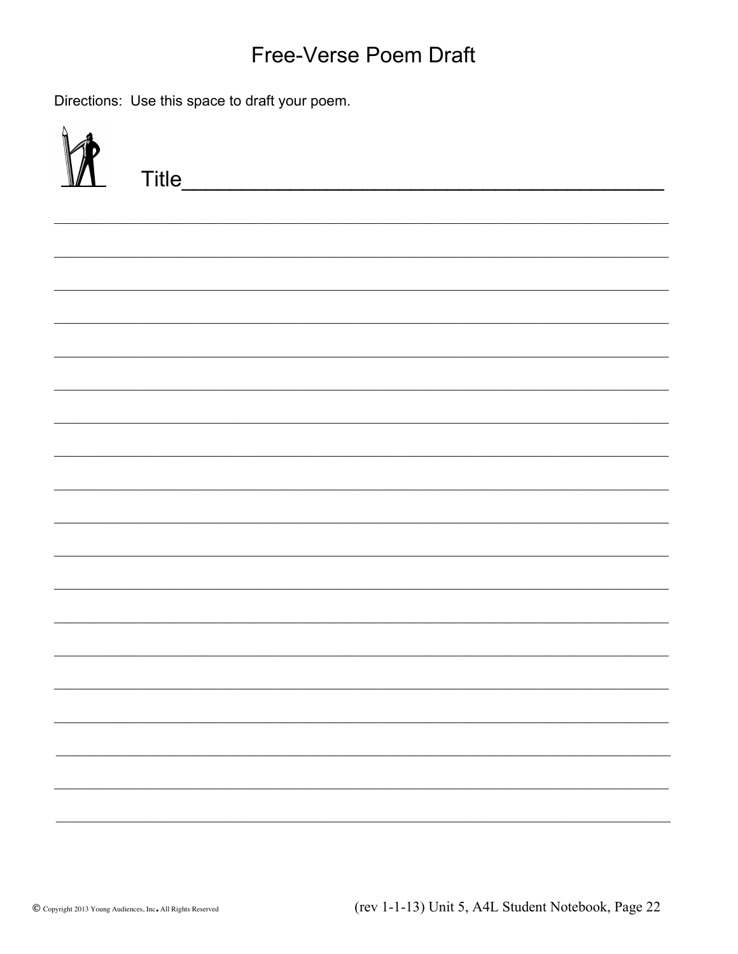### Free-Verse Poem Draft

Directions: Use this space to draft your poem.

| Title_ |
|--------|
|        |
|        |
|        |
|        |
|        |
|        |
|        |
|        |
|        |
|        |
|        |
|        |
|        |
|        |
|        |
|        |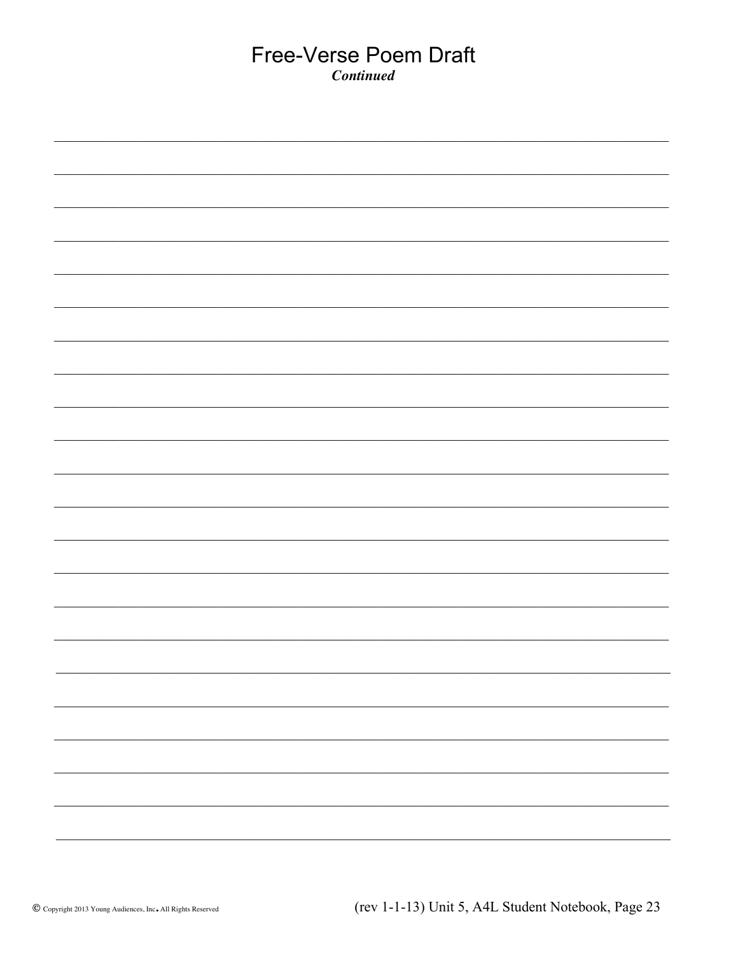#### Free-Verse Poem Draft **Continued**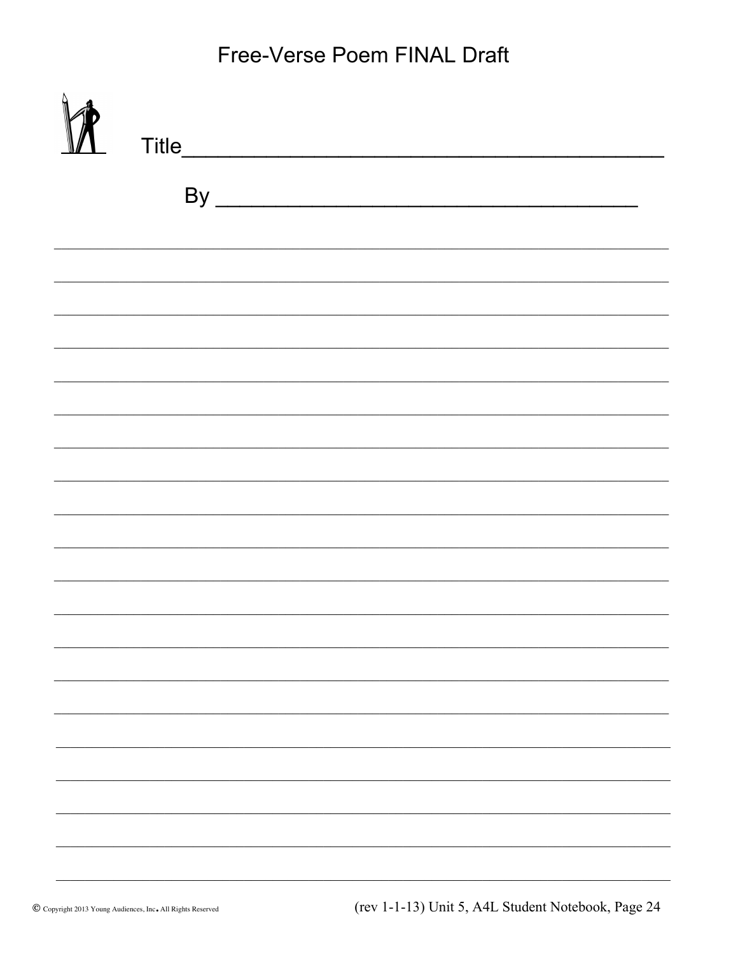Free-Verse Poem FINAL Draft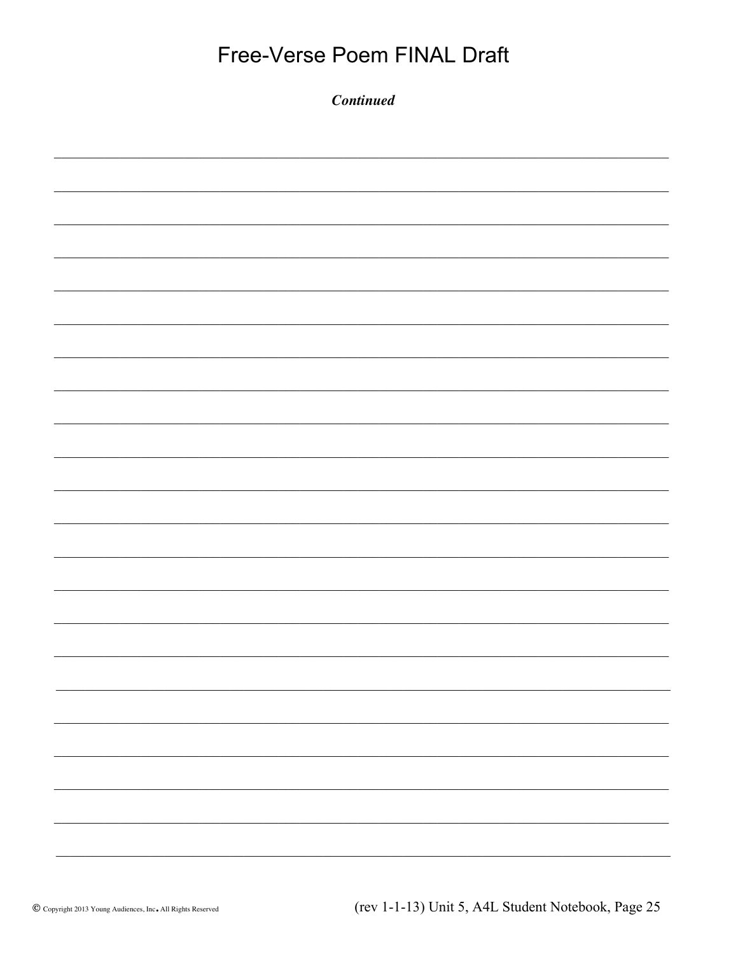| Free-Verse Poem FINAL Draft |  |  |  |  |
|-----------------------------|--|--|--|--|
| <b>Continued</b>            |  |  |  |  |
|                             |  |  |  |  |
|                             |  |  |  |  |
|                             |  |  |  |  |
|                             |  |  |  |  |
|                             |  |  |  |  |
|                             |  |  |  |  |
|                             |  |  |  |  |
|                             |  |  |  |  |
|                             |  |  |  |  |
|                             |  |  |  |  |
|                             |  |  |  |  |
|                             |  |  |  |  |
|                             |  |  |  |  |
|                             |  |  |  |  |
|                             |  |  |  |  |
|                             |  |  |  |  |
|                             |  |  |  |  |
|                             |  |  |  |  |
|                             |  |  |  |  |
|                             |  |  |  |  |
|                             |  |  |  |  |
|                             |  |  |  |  |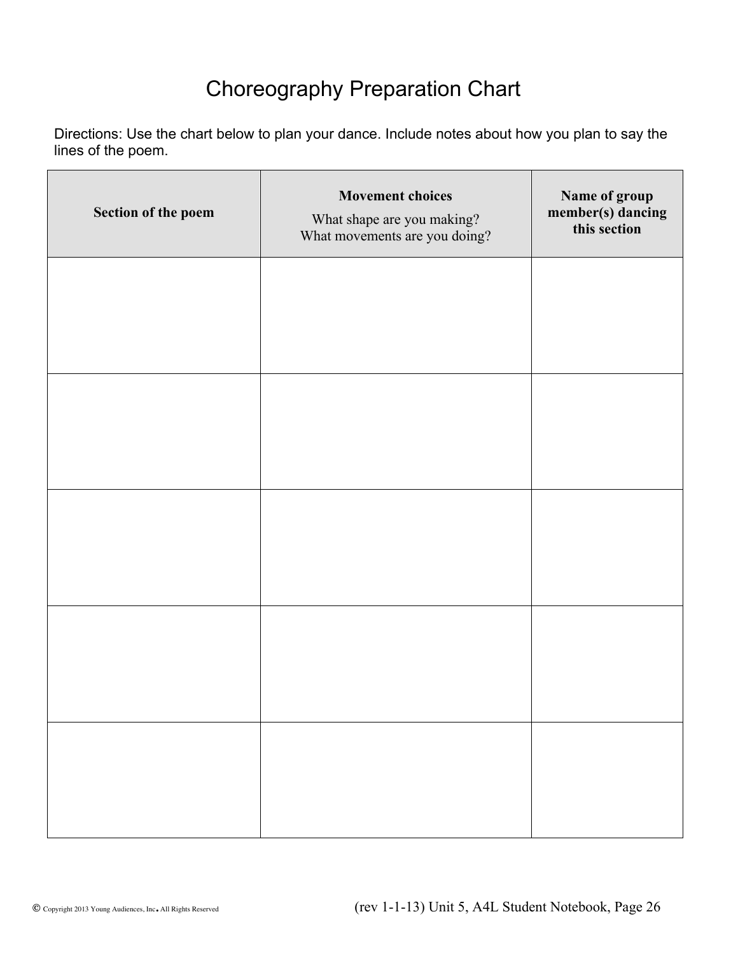### Choreography Preparation Chart

Directions: Use the chart below to plan your dance. Include notes about how you plan to say the lines of the poem.

| Section of the poem | <b>Movement choices</b><br>What shape are you making?<br>What movements are you doing? | Name of group<br>member(s) dancing<br>this section |
|---------------------|----------------------------------------------------------------------------------------|----------------------------------------------------|
|                     |                                                                                        |                                                    |
|                     |                                                                                        |                                                    |
|                     |                                                                                        |                                                    |
|                     |                                                                                        |                                                    |
|                     |                                                                                        |                                                    |
|                     |                                                                                        |                                                    |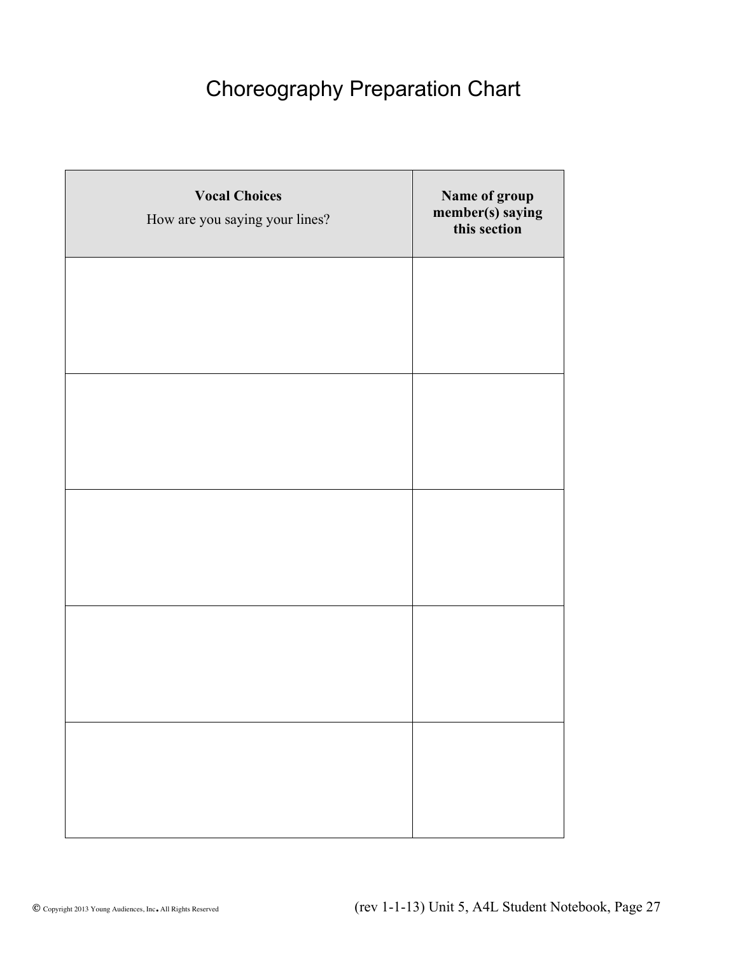### Choreography Preparation Chart

| <b>Vocal Choices</b><br>How are you saying your lines? | Name of group<br>member(s) saying<br>this section |
|--------------------------------------------------------|---------------------------------------------------|
|                                                        |                                                   |
|                                                        |                                                   |
|                                                        |                                                   |
|                                                        |                                                   |
|                                                        |                                                   |
|                                                        |                                                   |
|                                                        |                                                   |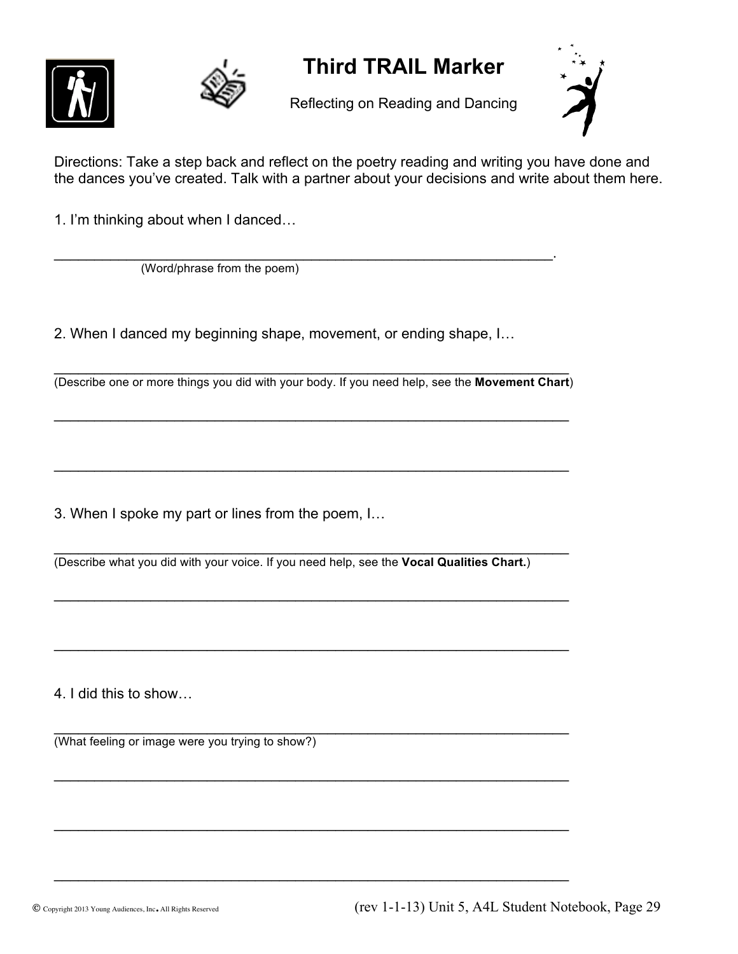



### **Third TRAIL Marker**

Reflecting on Reading and Dancing



Directions: Take a step back and reflect on the poetry reading and writing you have done and the dances you've created. Talk with a partner about your decisions and write about them here.

1. I'm thinking about when I danced…

 $\mathcal{L}_\text{max} = \mathcal{L}_\text{max} = \mathcal{L}_\text{max} = \mathcal{L}_\text{max} = \mathcal{L}_\text{max} = \mathcal{L}_\text{max} = \mathcal{L}_\text{max} = \mathcal{L}_\text{max} = \mathcal{L}_\text{max} = \mathcal{L}_\text{max} = \mathcal{L}_\text{max} = \mathcal{L}_\text{max} = \mathcal{L}_\text{max} = \mathcal{L}_\text{max} = \mathcal{L}_\text{max} = \mathcal{L}_\text{max} = \mathcal{L}_\text{max} = \mathcal{L}_\text{max} = \mathcal{$ (Word/phrase from the poem)

2. When I danced my beginning shape, movement, or ending shape, I…

 $\mathcal{L}_\text{max} = \mathcal{L}_\text{max} = \mathcal{L}_\text{max} = \mathcal{L}_\text{max} = \mathcal{L}_\text{max} = \mathcal{L}_\text{max} = \mathcal{L}_\text{max} = \mathcal{L}_\text{max} = \mathcal{L}_\text{max} = \mathcal{L}_\text{max} = \mathcal{L}_\text{max} = \mathcal{L}_\text{max} = \mathcal{L}_\text{max} = \mathcal{L}_\text{max} = \mathcal{L}_\text{max} = \mathcal{L}_\text{max} = \mathcal{L}_\text{max} = \mathcal{L}_\text{max} = \mathcal{$ (Describe one or more things you did with your body. If you need help, see the **Movement Chart**)

 $\mathcal{L}_\text{max}$  , and the contract of the contract of the contract of the contract of the contract of the contract of the contract of the contract of the contract of the contract of the contract of the contract of the contr

 $\mathcal{L}_\text{max} = \mathcal{L}_\text{max} = \mathcal{L}_\text{max} = \mathcal{L}_\text{max} = \mathcal{L}_\text{max} = \mathcal{L}_\text{max} = \mathcal{L}_\text{max} = \mathcal{L}_\text{max} = \mathcal{L}_\text{max} = \mathcal{L}_\text{max} = \mathcal{L}_\text{max} = \mathcal{L}_\text{max} = \mathcal{L}_\text{max} = \mathcal{L}_\text{max} = \mathcal{L}_\text{max} = \mathcal{L}_\text{max} = \mathcal{L}_\text{max} = \mathcal{L}_\text{max} = \mathcal{$ 

3. When I spoke my part or lines from the poem, I…

 $\mathcal{L}_\text{max}$  , and the contract of the contract of the contract of the contract of the contract of the contract of (Describe what you did with your voice. If you need help, see the **Vocal Qualities Chart.**)

 $\mathcal{L}_\text{max} = \mathcal{L}_\text{max} = \mathcal{L}_\text{max} = \mathcal{L}_\text{max} = \mathcal{L}_\text{max} = \mathcal{L}_\text{max} = \mathcal{L}_\text{max} = \mathcal{L}_\text{max} = \mathcal{L}_\text{max} = \mathcal{L}_\text{max} = \mathcal{L}_\text{max} = \mathcal{L}_\text{max} = \mathcal{L}_\text{max} = \mathcal{L}_\text{max} = \mathcal{L}_\text{max} = \mathcal{L}_\text{max} = \mathcal{L}_\text{max} = \mathcal{L}_\text{max} = \mathcal{$ 

 $\mathcal{L}_\text{max} = \mathcal{L}_\text{max} = \mathcal{L}_\text{max} = \mathcal{L}_\text{max} = \mathcal{L}_\text{max} = \mathcal{L}_\text{max} = \mathcal{L}_\text{max} = \mathcal{L}_\text{max} = \mathcal{L}_\text{max} = \mathcal{L}_\text{max} = \mathcal{L}_\text{max} = \mathcal{L}_\text{max} = \mathcal{L}_\text{max} = \mathcal{L}_\text{max} = \mathcal{L}_\text{max} = \mathcal{L}_\text{max} = \mathcal{L}_\text{max} = \mathcal{L}_\text{max} = \mathcal{$ 

 $\mathcal{L}_\text{max}$  , and the contract of the contract of the contract of the contract of the contract of the contract of

 $\mathcal{L}_\text{max} = \mathcal{L}_\text{max} = \mathcal{L}_\text{max} = \mathcal{L}_\text{max} = \mathcal{L}_\text{max} = \mathcal{L}_\text{max} = \mathcal{L}_\text{max} = \mathcal{L}_\text{max} = \mathcal{L}_\text{max} = \mathcal{L}_\text{max} = \mathcal{L}_\text{max} = \mathcal{L}_\text{max} = \mathcal{L}_\text{max} = \mathcal{L}_\text{max} = \mathcal{L}_\text{max} = \mathcal{L}_\text{max} = \mathcal{L}_\text{max} = \mathcal{L}_\text{max} = \mathcal{$ 

 $\mathcal{L}_\text{max}$  , and the contract of the contract of the contract of the contract of the contract of the contract of

4. I did this to show…

 $\mathcal{L}_\text{max}$  , and the contract of the contract of the contract of the contract of the contract of the contract of (What feeling or image were you trying to show?)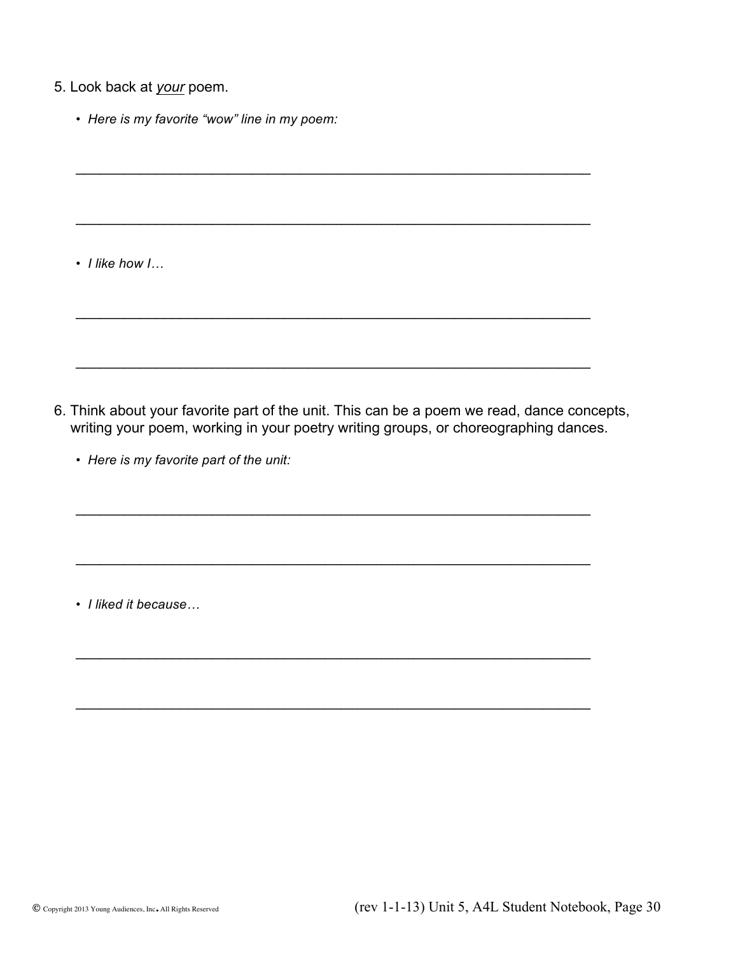- 5. Look back at *your* poem.
	- *Here is my favorite "wow" line in my poem:*

• *I like how I…*

6. Think about your favorite part of the unit. This can be a poem we read, dance concepts, writing your poem, working in your poetry writing groups, or choreographing dances.

 $\mathcal{L}_\text{max} = \mathcal{L}_\text{max} = \mathcal{L}_\text{max} = \mathcal{L}_\text{max} = \mathcal{L}_\text{max} = \mathcal{L}_\text{max} = \mathcal{L}_\text{max} = \mathcal{L}_\text{max} = \mathcal{L}_\text{max} = \mathcal{L}_\text{max} = \mathcal{L}_\text{max} = \mathcal{L}_\text{max} = \mathcal{L}_\text{max} = \mathcal{L}_\text{max} = \mathcal{L}_\text{max} = \mathcal{L}_\text{max} = \mathcal{L}_\text{max} = \mathcal{L}_\text{max} = \mathcal{$ 

 $\mathcal{L}_\text{max} = \mathcal{L}_\text{max} = \mathcal{L}_\text{max} = \mathcal{L}_\text{max} = \mathcal{L}_\text{max} = \mathcal{L}_\text{max} = \mathcal{L}_\text{max} = \mathcal{L}_\text{max} = \mathcal{L}_\text{max} = \mathcal{L}_\text{max} = \mathcal{L}_\text{max} = \mathcal{L}_\text{max} = \mathcal{L}_\text{max} = \mathcal{L}_\text{max} = \mathcal{L}_\text{max} = \mathcal{L}_\text{max} = \mathcal{L}_\text{max} = \mathcal{L}_\text{max} = \mathcal{$ 

 $\mathcal{L}_\text{max}$  , and the contract of the contract of the contract of the contract of the contract of the contract of the contract of the contract of the contract of the contract of the contract of the contract of the contr

 $\mathcal{L}_\text{max}$  , and the contract of the contract of the contract of the contract of the contract of the contract of

 $\mathcal{L}_\text{max}$  , and the contract of the contract of the contract of the contract of the contract of the contract of

 $\mathcal{L}_\text{max} = \mathcal{L}_\text{max} = \mathcal{L}_\text{max} = \mathcal{L}_\text{max} = \mathcal{L}_\text{max} = \mathcal{L}_\text{max} = \mathcal{L}_\text{max} = \mathcal{L}_\text{max} = \mathcal{L}_\text{max} = \mathcal{L}_\text{max} = \mathcal{L}_\text{max} = \mathcal{L}_\text{max} = \mathcal{L}_\text{max} = \mathcal{L}_\text{max} = \mathcal{L}_\text{max} = \mathcal{L}_\text{max} = \mathcal{L}_\text{max} = \mathcal{L}_\text{max} = \mathcal{$ 

 $\mathcal{L}_\text{max} = \mathcal{L}_\text{max} = \mathcal{L}_\text{max} = \mathcal{L}_\text{max} = \mathcal{L}_\text{max} = \mathcal{L}_\text{max} = \mathcal{L}_\text{max} = \mathcal{L}_\text{max} = \mathcal{L}_\text{max} = \mathcal{L}_\text{max} = \mathcal{L}_\text{max} = \mathcal{L}_\text{max} = \mathcal{L}_\text{max} = \mathcal{L}_\text{max} = \mathcal{L}_\text{max} = \mathcal{L}_\text{max} = \mathcal{L}_\text{max} = \mathcal{L}_\text{max} = \mathcal{$ 

 $\mathcal{L}_\text{max} = \mathcal{L}_\text{max} = \mathcal{L}_\text{max} = \mathcal{L}_\text{max} = \mathcal{L}_\text{max} = \mathcal{L}_\text{max} = \mathcal{L}_\text{max} = \mathcal{L}_\text{max} = \mathcal{L}_\text{max} = \mathcal{L}_\text{max} = \mathcal{L}_\text{max} = \mathcal{L}_\text{max} = \mathcal{L}_\text{max} = \mathcal{L}_\text{max} = \mathcal{L}_\text{max} = \mathcal{L}_\text{max} = \mathcal{L}_\text{max} = \mathcal{L}_\text{max} = \mathcal{$ 

• *Here is my favorite part of the unit:*

• *I liked it because…*